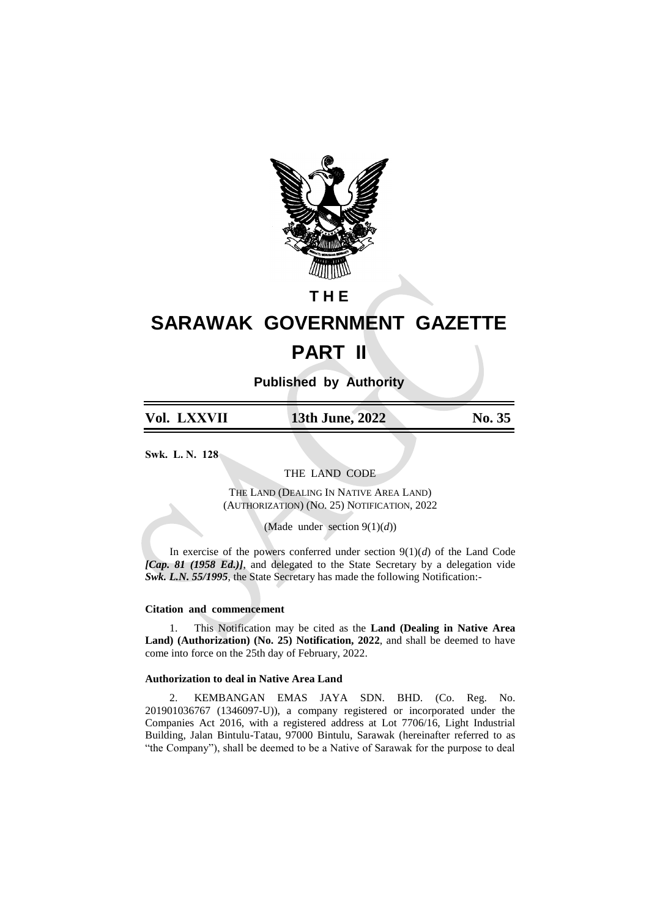

**T H E**

# **SARAWAK GOVERNMENT GAZETTE PART II**

**Published by Authority**

## **Vol. LXXVII 13th June, 2022 No. 35**

**Swk. L. N. 128**

THE LAND CODE

THE LAND (DEALING IN NATIVE AREA LAND) (AUTHORIZATION) (NO. 25) NOTIFICATION, 2022

(Made under section 9(1)(*d*))

In exercise of the powers conferred under section  $9(1)(d)$  of the Land Code *[Cap. 81 (1958 Ed.)]*, and delegated to the State Secretary by a delegation vide *Swk. L.N. 55/1995*, the State Secretary has made the following Notification:-

#### **Citation and commencement**

1. This Notification may be cited as the **Land (Dealing in Native Area Land) (Authorization) (No. 25) Notification, 2022**, and shall be deemed to have come into force on the 25th day of February, 2022.

### **Authorization to deal in Native Area Land**

2. KEMBANGAN EMAS JAYA SDN. BHD. (Co. Reg. No. 201901036767 (1346097-U)), a company registered or incorporated under the Companies Act 2016, with a registered address at Lot 7706/16, Light Industrial Building, Jalan Bintulu-Tatau, 97000 Bintulu, Sarawak (hereinafter referred to as "the Company"), shall be deemed to be a Native of Sarawak for the purpose to deal